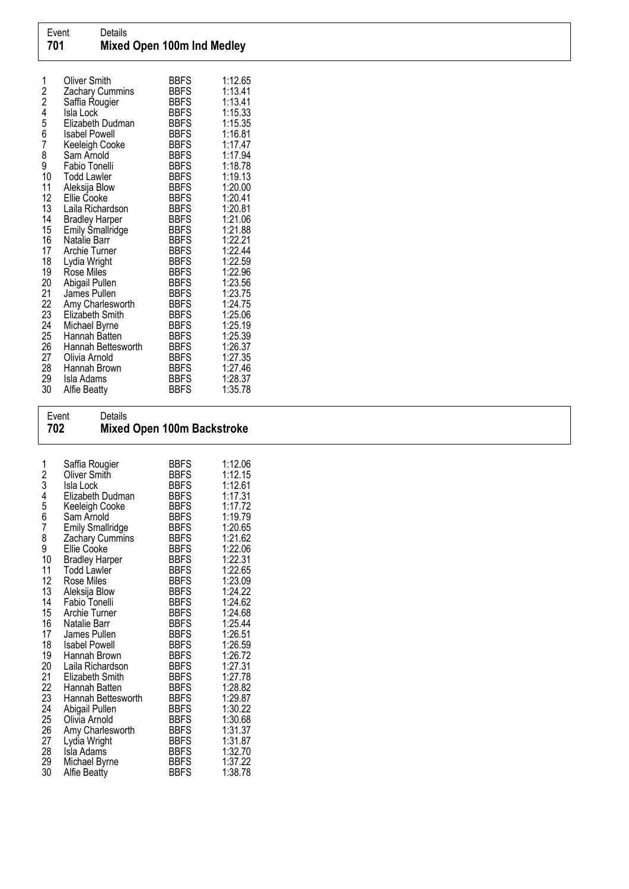| 1<br>$\frac{2}{2}$<br>4 | Oliver Smith<br>Zachary Cummins<br>Saffia Rougier<br>Isla Lock | BBFS<br><b>BBFS</b><br>BBFS<br>BBFS | 1:12.65<br>1:13.41<br>1:13.41<br>1:15.33 |
|-------------------------|----------------------------------------------------------------|-------------------------------------|------------------------------------------|
|                         | Elizabeth Dudman                                               | <b>BBFS</b>                         | 1:15.35                                  |
| 5<br>6                  | Isabel Powell                                                  | <b>BBFS</b>                         | 1:16.81                                  |
| 7                       | Keeleigh Cooke                                                 | BBFS                                | 1:17.47                                  |
| 8                       | Sam Arnold                                                     | <b>BBFS</b>                         | 1:17.94                                  |
| 9<br>10                 | Fabio Tonelli<br><b>Todd Lawler</b>                            | <b>BBFS</b><br><b>BBFS</b>          | 1:18.78<br>1:19.13                       |
| 11                      | Aleksija Blow                                                  | <b>BBFS</b>                         | 1:20.00                                  |
| 12                      | Ellie Cooke                                                    | <b>BBFS</b>                         | 1:20.41                                  |
| 13                      | Laila Richardson                                               | <b>BBFS</b>                         | 1:20.81                                  |
| 14                      | <b>Bradley Harper</b>                                          | <b>BBFS</b>                         | 1:21.06                                  |
| 15                      | Emily Śmallridge                                               | <b>BBFS</b>                         | 1:21.88                                  |
| 16                      | Natalie Barr                                                   | <b>BBFS</b>                         | 1:22.21                                  |
| 17<br>18                | Archie Turner<br>Lydia Wright                                  | BBFS<br><b>BBFS</b>                 | 1:22.44<br>1:22.59                       |
| 19                      | Rose Miles                                                     | <b>BBFS</b>                         | 1:22.96                                  |
| 20                      | Abigail Pullen                                                 | BBFS                                | 1:23.56                                  |
| 21                      | James Pullen                                                   | BBFS                                | 1:23.75                                  |
| 22                      | Amy Charlesworth                                               | <b>BBFS</b>                         | 1:24.75                                  |
| 23                      | Elizabeth Smith                                                | <b>BBFS</b>                         | 1:25.06                                  |
| 24                      | Michael Byrne                                                  | <b>BBFS</b>                         | 1:25.19                                  |
| 25<br>26                | Hannah Batten<br>Hannah Bettesworth                            | <b>BBFS</b><br><b>BBFS</b>          | 1:25.39<br>1:26.37                       |
| 27                      | Olivia Arnold                                                  | <b>BBFS</b>                         | 1:27.35                                  |
| 28                      | Hannah Brown                                                   | <b>BBFS</b>                         | 1:27.46                                  |
| 29                      | Isla Adams                                                     | <b>BBFS</b>                         | 1:28.37                                  |
| 30                      | <b>Alfie Beatty</b>                                            | BBFS                                | 1:35.78                                  |

## Event Details<br>**702 Mixed** Mixed Open 100m Backstroke

| 1<br>$\begin{array}{c} 2 \\ 3 \\ 4 \end{array}$<br>5<br>6<br>$\overline{7}$<br>8<br>9<br>10<br>11<br>12<br>13<br>14<br>15<br>16<br>17<br>18<br>19<br>20<br>21<br>22<br>23<br>24<br>25<br>26<br>27<br>28 | Saffia Rougier<br>Oliver Smith<br>Isla Lock<br>Elizabeth Dudman<br>Keeleigh Cooke<br>Sam Arnold<br><b>Emily Smallridge</b><br>Zachary Cummins<br><b>Ellie Cooke</b><br><b>Bradley Harper</b><br><b>Todd Lawler</b><br>Rose Miles<br>Aleksija Blow<br>Fabio Tonelli<br>Archie Turner<br>Natalie Barr<br>James Pullen<br><b>Isabel Powell</b><br>Hannah Brown<br>Laila Richardson<br>Elizabeth Smith<br>Hannah Batten<br>Hannah Bettesworth<br>Abigail Pullen<br>Olivia Arnold<br>Amy Charlesworth<br>Lydia Wright<br>Isla Adams | BBFS<br><b>BBFS</b><br><b>BBFS</b><br><b>BBFS</b><br>BBFS<br><b>BBFS</b><br><b>BBFS</b><br><b>BBFS</b><br><b>BBFS</b><br><b>BBFS</b><br><b>BBFS</b><br>BBFS<br><b>BBFS</b><br>BBFS<br>BBFS<br><b>BBFS</b><br><b>BBFS</b><br><b>BBFS</b><br>BBFS<br><b>BBFS</b><br><b>BBFS</b><br><b>BBFS</b><br><b>BBFS</b><br>BBFS<br><b>BBFS</b><br><b>BBFS</b><br><b>BBFS</b><br><b>BBFS</b> | 1:12.06<br>1:12.15<br>1:12.61<br>1:17.31<br>1:17.72<br>1:19.79<br>1:20.65<br>1:21.62<br>1:22.06<br>1:22.31<br>1:22.65<br>1:23.09<br>1:24.22<br>1:24.62<br>1:24.68<br>1:25.44<br>1:26.51<br>1:26.59<br>1:26.72<br>1:27.31<br>1:27.78<br>1:28.82<br>1:29.87<br>1:30.22<br>1:30.68<br>1:31.37<br>1:31.87<br>1:32.70 |
|---------------------------------------------------------------------------------------------------------------------------------------------------------------------------------------------------------|--------------------------------------------------------------------------------------------------------------------------------------------------------------------------------------------------------------------------------------------------------------------------------------------------------------------------------------------------------------------------------------------------------------------------------------------------------------------------------------------------------------------------------|---------------------------------------------------------------------------------------------------------------------------------------------------------------------------------------------------------------------------------------------------------------------------------------------------------------------------------------------------------------------------------|------------------------------------------------------------------------------------------------------------------------------------------------------------------------------------------------------------------------------------------------------------------------------------------------------------------|
| 29                                                                                                                                                                                                      | Michael Byrne                                                                                                                                                                                                                                                                                                                                                                                                                                                                                                                  | <b>BBFS</b>                                                                                                                                                                                                                                                                                                                                                                     | 1:37.22                                                                                                                                                                                                                                                                                                          |
| 30                                                                                                                                                                                                      | Alfie Beatty                                                                                                                                                                                                                                                                                                                                                                                                                                                                                                                   | BBFS                                                                                                                                                                                                                                                                                                                                                                            | 1:38.78                                                                                                                                                                                                                                                                                                          |